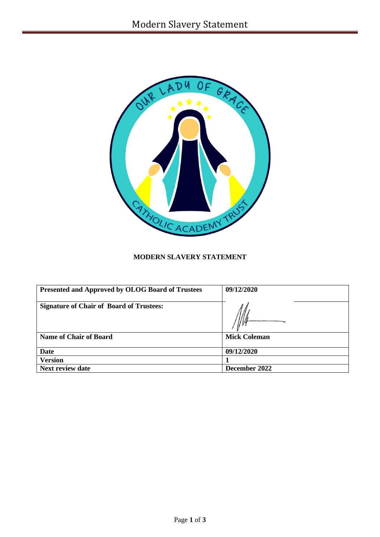

# **MODERN SLAVERY STATEMENT**

| <b>Presented and Approved by OLOG Board of Trustees</b> | 09/12/2020          |
|---------------------------------------------------------|---------------------|
| <b>Signature of Chair of Board of Trustees:</b>         |                     |
| <b>Name of Chair of Board</b>                           | <b>Mick Coleman</b> |
| Date                                                    | 09/12/2020          |
| <b>Version</b>                                          |                     |
| <b>Next review date</b>                                 | December 2022       |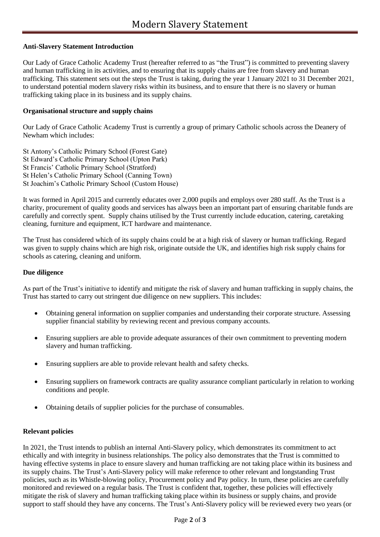## **Anti-Slavery Statement Introduction**

Our Lady of Grace Catholic Academy Trust (hereafter referred to as "the Trust") is committed to preventing slavery and human trafficking in its activities, and to ensuring that its supply chains are free from slavery and human trafficking. This statement sets out the steps the Trust is taking, during the year 1 January 2021 to 31 December 2021, to understand potential modern slavery risks within its business, and to ensure that there is no slavery or human trafficking taking place in its business and its supply chains.

## **Organisational structure and supply chains**

Our Lady of Grace Catholic Academy Trust is currently a group of primary Catholic schools across the Deanery of Newham which includes:

St Antony's Catholic Primary School (Forest Gate) St Edward's Catholic Primary School (Upton Park) St Francis' Catholic Primary School (Stratford) St Helen's Catholic Primary School (Canning Town) St Joachim's Catholic Primary School (Custom House)

It was formed in April 2015 and currently educates over 2,000 pupils and employs over 280 staff. As the Trust is a charity, procurement of quality goods and services has always been an important part of ensuring charitable funds are carefully and correctly spent. Supply chains utilised by the Trust currently include education, catering, caretaking cleaning, furniture and equipment, ICT hardware and maintenance.

The Trust has considered which of its supply chains could be at a high risk of slavery or human trafficking. Regard was given to supply chains which are high risk, originate outside the UK, and identifies high risk supply chains for schools as catering, cleaning and uniform.

#### **Due diligence**

As part of the Trust's initiative to identify and mitigate the risk of slavery and human trafficking in supply chains, the Trust has started to carry out stringent due diligence on new suppliers. This includes:

- Obtaining general information on supplier companies and understanding their corporate structure. Assessing supplier financial stability by reviewing recent and previous company accounts.
- Ensuring suppliers are able to provide adequate assurances of their own commitment to preventing modern slavery and human trafficking.
- Ensuring suppliers are able to provide relevant health and safety checks.
- Ensuring suppliers on framework contracts are quality assurance compliant particularly in relation to working conditions and people.
- Obtaining details of supplier policies for the purchase of consumables.

#### **Relevant policies**

In 2021, the Trust intends to publish an internal Anti-Slavery policy, which demonstrates its commitment to act ethically and with integrity in business relationships. The policy also demonstrates that the Trust is committed to having effective systems in place to ensure slavery and human trafficking are not taking place within its business and its supply chains. The Trust's Anti-Slavery policy will make reference to other relevant and longstanding Trust policies, such as its Whistle-blowing policy, Procurement policy and Pay policy. In turn, these policies are carefully monitored and reviewed on a regular basis. The Trust is confident that, together, these policies will effectively mitigate the risk of slavery and human trafficking taking place within its business or supply chains, and provide support to staff should they have any concerns. The Trust's Anti-Slavery policy will be reviewed every two years (or